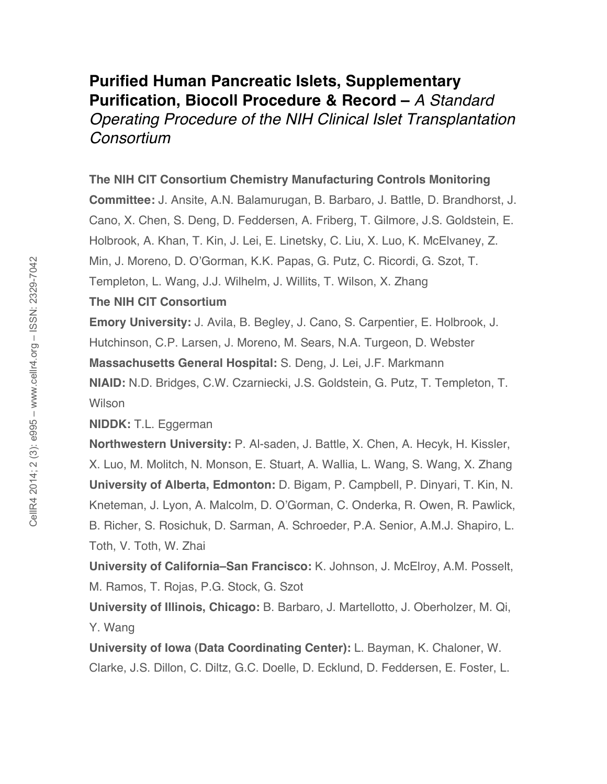# **Purified Human Pancreatic Islets, Supplementary Purification, Biocoll Procedure & Record –** *A Standard*

*Operating Procedure of the NIH Clinical Islet Transplantation Consortium* 

## **The NIH CIT Consortium Chemistry Manufacturing Controls Monitoring**

**Committee:** J. Ansite, A.N. Balamurugan, B. Barbaro, J. Battle, D. Brandhorst, J. Cano, X. Chen, S. Deng, D. Feddersen, A. Friberg, T. Gilmore, J.S. Goldstein, E. Holbrook, A. Khan, T. Kin, J. Lei, E. Linetsky, C. Liu, X. Luo, K. McElvaney, Z. Min, J. Moreno, D. O'Gorman, K.K. Papas, G. Putz, C. Ricordi, G. Szot, T. Templeton, L. Wang, J.J. Wilhelm, J. Willits, T. Wilson, X. Zhang

## **The NIH CIT Consortium**

**Emory University:** J. Avila, B. Begley, J. Cano, S. Carpentier, E. Holbrook, J. Hutchinson, C.P. Larsen, J. Moreno, M. Sears, N.A. Turgeon, D. Webster **Massachusetts General Hospital:** S. Deng, J. Lei, J.F. Markmann **NIAID:** N.D. Bridges, C.W. Czarniecki, J.S. Goldstein, G. Putz, T. Templeton, T. **Wilson** 

**NIDDK:** T.L. Eggerman

**Northwestern University:** P. Al-saden, J. Battle, X. Chen, A. Hecyk, H. Kissler, X. Luo, M. Molitch, N. Monson, E. Stuart, A. Wallia, L. Wang, S. Wang, X. Zhang **University of Alberta, Edmonton:** D. Bigam, P. Campbell, P. Dinyari, T. Kin, N. Kneteman, J. Lyon, A. Malcolm, D. O'Gorman, C. Onderka, R. Owen, R. Pawlick, B. Richer, S. Rosichuk, D. Sarman, A. Schroeder, P.A. Senior, A.M.J. Shapiro, L. Toth, V. Toth, W. Zhai

**University of California–San Francisco:** K. Johnson, J. McElroy, A.M. Posselt, M. Ramos, T. Rojas, P.G. Stock, G. Szot

**University of Illinois, Chicago:** B. Barbaro, J. Martellotto, J. Oberholzer, M. Qi, Y. Wang

**University of Iowa (Data Coordinating Center):** L. Bayman, K. Chaloner, W. Clarke, J.S. Dillon, C. Diltz, G.C. Doelle, D. Ecklund, D. Feddersen, E. Foster, L.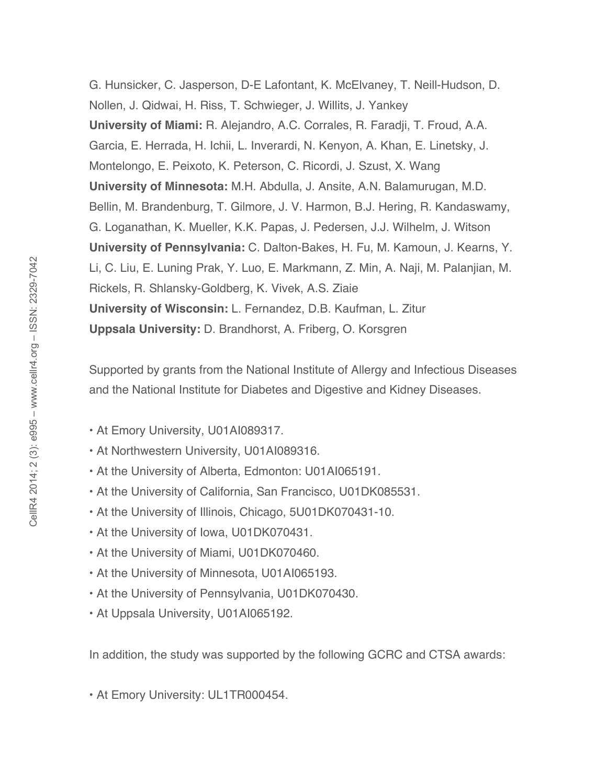G. Hunsicker, C. Jasperson, D-E Lafontant, K. McElvaney, T. Neill-Hudson, D. Nollen, J. Qidwai, H. Riss, T. Schwieger, J. Willits, J. Yankey **University of Miami:** R. Alejandro, A.C. Corrales, R. Faradji, T. Froud, A.A. Garcia, E. Herrada, H. Ichii, L. Inverardi, N. Kenyon, A. Khan, E. Linetsky, J. Montelongo, E. Peixoto, K. Peterson, C. Ricordi, J. Szust, X. Wang **University of Minnesota:** M.H. Abdulla, J. Ansite, A.N. Balamurugan, M.D. Bellin, M. Brandenburg, T. Gilmore, J. V. Harmon, B.J. Hering, R. Kandaswamy, G. Loganathan, K. Mueller, K.K. Papas, J. Pedersen, J.J. Wilhelm, J. Witson **University of Pennsylvania:** C. Dalton-Bakes, H. Fu, M. Kamoun, J. Kearns, Y. Li, C. Liu, E. Luning Prak, Y. Luo, E. Markmann, Z. Min, A. Naji, M. Palanjian, M. Rickels, R. Shlansky-Goldberg, K. Vivek, A.S. Ziaie **University of Wisconsin:** L. Fernandez, D.B. Kaufman, L. Zitur **Uppsala University:** D. Brandhorst, A. Friberg, O. Korsgren

Supported by grants from the National Institute of Allergy and Infectious Diseases and the National Institute for Diabetes and Digestive and Kidney Diseases.

- At Emory University, U01AI089317.
- At Northwestern University, U01AI089316.
- At the University of Alberta, Edmonton: U01AI065191.
- At the University of California, San Francisco, U01DK085531.
- At the University of Illinois, Chicago, 5U01DK070431-10.
- At the University of Iowa, U01DK070431.
- At the University of Miami, U01DK070460.
- At the University of Minnesota, U01AI065193.
- At the University of Pennsylvania, U01DK070430.
- At Uppsala University, U01AI065192.

In addition, the study was supported by the following GCRC and CTSA awards:

• At Emory University: UL1TR000454.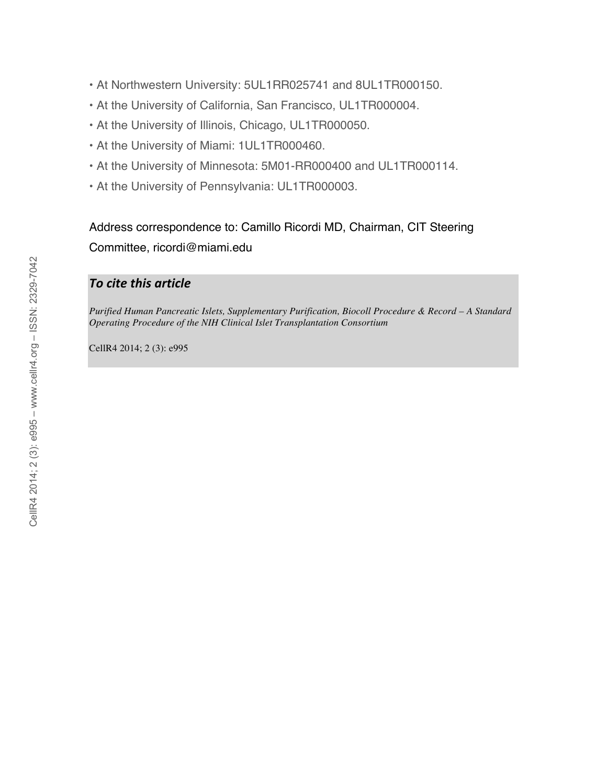- At Northwestern University: 5UL1RR025741 and 8UL1TR000150.
- At the University of California, San Francisco, UL1TR000004.
- At the University of Illinois, Chicago, UL1TR000050.
- At the University of Miami: 1UL1TR000460.
- At the University of Minnesota: 5M01-RR000400 and UL1TR000114.
- At the University of Pennsylvania: UL1TR000003.

Address correspondence to: Camillo Ricordi MD, Chairman, CIT Steering Committee, ricordi@miami.edu

# *To
cite
this
article*

*Purified Human Pancreatic Islets, Supplementary Purification, Biocoll Procedure & Record – A Standard Operating Procedure of the NIH Clinical Islet Transplantation Consortium*

CellR4 2014; 2 (3): e995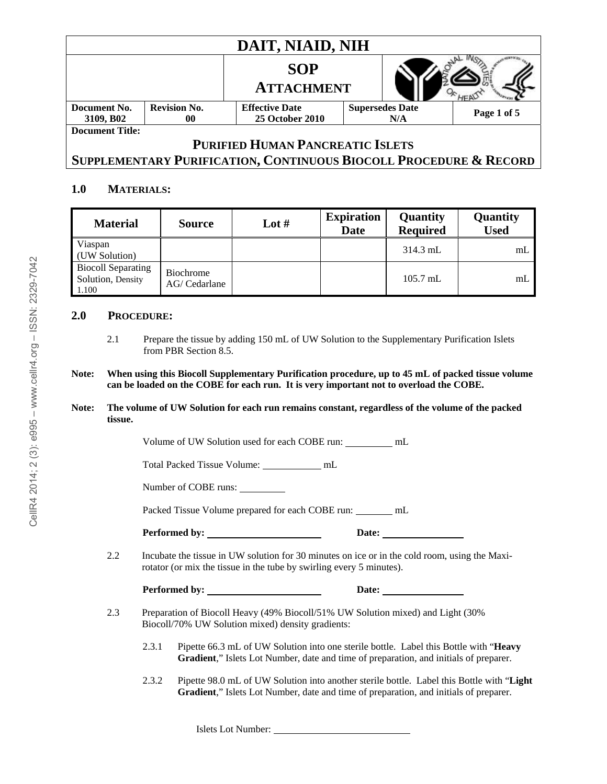| DAIT, NIAID, NIH                        |                     |                        |                        |     |             |  |  |  |
|-----------------------------------------|---------------------|------------------------|------------------------|-----|-------------|--|--|--|
|                                         |                     | <b>SOP</b>             |                        |     |             |  |  |  |
|                                         |                     | <b>ATTACHMENT</b>      |                        |     |             |  |  |  |
| Document No.                            | <b>Revision No.</b> | <b>Effective Date</b>  | <b>Supersedes Date</b> |     | Page 1 of 5 |  |  |  |
| 3109, B <sub>02</sub>                   | 00                  | <b>25 October 2010</b> |                        | N/A |             |  |  |  |
| <b>Document Title:</b>                  |                     |                        |                        |     |             |  |  |  |
| <b>PURIFIED HUMAN PANCREATIC ISLETS</b> |                     |                        |                        |     |             |  |  |  |

# **SUPPLEMENTARY PURIFICATION, CONTINUOUS BIOCOLL PROCEDURE & RECORD**

## **1.0 MATERIALS:**

| <b>Material</b>                                         | <b>Source</b>              | Lot $#$ | <b>Expiration</b><br><b>Date</b> | Quantity<br><b>Required</b> | Quantity<br><b>Used</b> |
|---------------------------------------------------------|----------------------------|---------|----------------------------------|-----------------------------|-------------------------|
| Viaspan<br>(UW Solution)                                |                            |         |                                  | $314.3$ mL                  | mL                      |
| <b>Biocoll Separating</b><br>Solution, Density<br>1.100 | Biochrome<br>AG/ Cedarlane |         |                                  | $105.7$ mL                  | m <sub>L</sub>          |

#### **2.0 PROCEDURE:**

#### **Note: When using this Biocoll Supplementary Purification procedure, up to 45 mL of packed tissue volume can be loaded on the COBE for each run. It is very important not to overload the COBE.**

**Note: The volume of UW Solution for each run remains constant, regardless of the volume of the packed tissue.** 

Volume of UW Solution used for each COBE run: mL

Total Packed Tissue Volume: mL

Number of COBE runs:

Packed Tissue Volume prepared for each COBE run: \_\_\_\_\_\_ mL

Performed by: <u>Date:</u> Date:

2.2 Incubate the tissue in UW solution for 30 minutes on ice or in the cold room, using the Maxirotator (or mix the tissue in the tube by swirling every 5 minutes).

| Performed by: | Date: |
|---------------|-------|
|               |       |

- 2.3 Preparation of Biocoll Heavy (49% Biocoll/51% UW Solution mixed) and Light (30% Biocoll/70% UW Solution mixed) density gradients:
	- 2.3.1 Pipette 66.3 mL of UW Solution into one sterile bottle. Label this Bottle with "**Heavy Gradient**," Islets Lot Number, date and time of preparation, and initials of preparer.
	- 2.3.2 Pipette 98.0 mL of UW Solution into another sterile bottle. Label this Bottle with "**Light Gradient**," Islets Lot Number, date and time of preparation, and initials of preparer.

Islets Lot Number:

<sup>2.1</sup> Prepare the tissue by adding 150 mL of UW Solution to the Supplementary Purification Islets from PBR Section 8.5.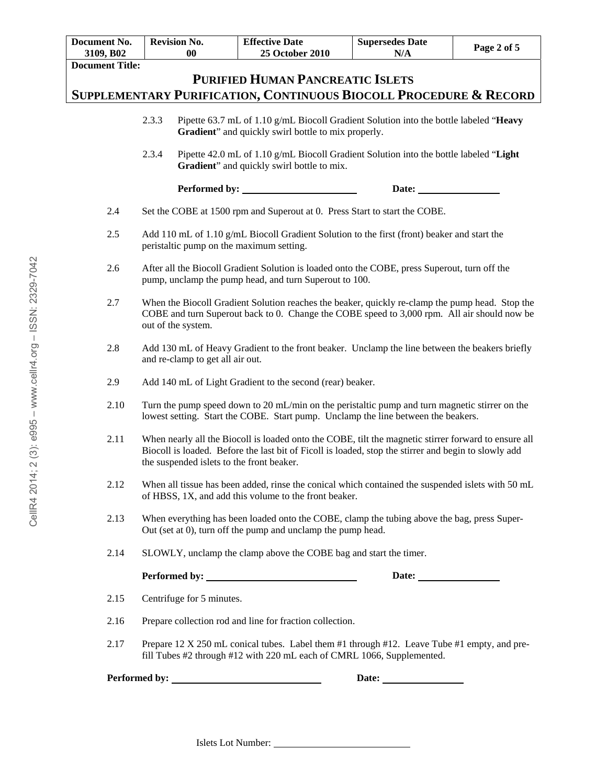| Document No.<br>3109, B02                                         | <b>Revision No.</b><br>0 <sub>0</sub>                                                                                                                                                                                                                     | <b>Effective Date</b><br>25 October 2010                                                                                                                              | <b>Supersedes Date</b><br>N/A | Page 2 of 5 |  |  |  |  |  |
|-------------------------------------------------------------------|-----------------------------------------------------------------------------------------------------------------------------------------------------------------------------------------------------------------------------------------------------------|-----------------------------------------------------------------------------------------------------------------------------------------------------------------------|-------------------------------|-------------|--|--|--|--|--|
| <b>Document Title:</b>                                            |                                                                                                                                                                                                                                                           |                                                                                                                                                                       |                               |             |  |  |  |  |  |
| <b>PURIFIED HUMAN PANCREATIC ISLETS</b>                           |                                                                                                                                                                                                                                                           |                                                                                                                                                                       |                               |             |  |  |  |  |  |
| SUPPLEMENTARY PURIFICATION, CONTINUOUS BIOCOLL PROCEDURE & RECORD |                                                                                                                                                                                                                                                           |                                                                                                                                                                       |                               |             |  |  |  |  |  |
|                                                                   | 2.3.3<br>Pipette 63.7 mL of 1.10 g/mL Biocoll Gradient Solution into the bottle labeled "Heavy<br>Gradient" and quickly swirl bottle to mix properly.                                                                                                     |                                                                                                                                                                       |                               |             |  |  |  |  |  |
|                                                                   |                                                                                                                                                                                                                                                           |                                                                                                                                                                       |                               |             |  |  |  |  |  |
|                                                                   | 2.3.4<br>Pipette 42.0 mL of 1.10 g/mL Biocoll Gradient Solution into the bottle labeled "Light<br>Gradient" and quickly swirl bottle to mix.                                                                                                              |                                                                                                                                                                       |                               |             |  |  |  |  |  |
|                                                                   | Performed by:                                                                                                                                                                                                                                             |                                                                                                                                                                       | Date:                         |             |  |  |  |  |  |
| 2.4                                                               |                                                                                                                                                                                                                                                           | Set the COBE at 1500 rpm and Superout at 0. Press Start to start the COBE.                                                                                            |                               |             |  |  |  |  |  |
| 2.5                                                               | peristaltic pump on the maximum setting.                                                                                                                                                                                                                  | Add 110 mL of 1.10 g/mL Biocoll Gradient Solution to the first (front) beaker and start the                                                                           |                               |             |  |  |  |  |  |
| 2.6                                                               |                                                                                                                                                                                                                                                           | After all the Biocoll Gradient Solution is loaded onto the COBE, press Superout, turn off the<br>pump, unclamp the pump head, and turn Superout to 100.               |                               |             |  |  |  |  |  |
| 2.7                                                               | When the Biocoll Gradient Solution reaches the beaker, quickly re-clamp the pump head. Stop the<br>COBE and turn Superout back to 0. Change the COBE speed to 3,000 rpm. All air should now be<br>out of the system.                                      |                                                                                                                                                                       |                               |             |  |  |  |  |  |
| 2.8                                                               | Add 130 mL of Heavy Gradient to the front beaker. Unclamp the line between the beakers briefly<br>and re-clamp to get all air out.                                                                                                                        |                                                                                                                                                                       |                               |             |  |  |  |  |  |
| 2.9                                                               | Add 140 mL of Light Gradient to the second (rear) beaker.                                                                                                                                                                                                 |                                                                                                                                                                       |                               |             |  |  |  |  |  |
| 2.10                                                              | Turn the pump speed down to 20 mL/min on the peristaltic pump and turn magnetic stirrer on the<br>lowest setting. Start the COBE. Start pump. Unclamp the line between the beakers.                                                                       |                                                                                                                                                                       |                               |             |  |  |  |  |  |
| 2.11                                                              | When nearly all the Biocoll is loaded onto the COBE, tilt the magnetic stirrer forward to ensure all<br>Biocoll is loaded. Before the last bit of Ficoll is loaded, stop the stirrer and begin to slowly add<br>the suspended islets to the front beaker. |                                                                                                                                                                       |                               |             |  |  |  |  |  |
| 2.12                                                              |                                                                                                                                                                                                                                                           | When all tissue has been added, rinse the conical which contained the suspended islets with 50 mL<br>of HBSS, 1X, and add this volume to the front beaker.            |                               |             |  |  |  |  |  |
| 2.13                                                              |                                                                                                                                                                                                                                                           | When everything has been loaded onto the COBE, clamp the tubing above the bag, press Super-<br>Out (set at 0), turn off the pump and unclamp the pump head.           |                               |             |  |  |  |  |  |
| 2.14                                                              |                                                                                                                                                                                                                                                           | SLOWLY, unclamp the clamp above the COBE bag and start the timer.                                                                                                     |                               |             |  |  |  |  |  |
|                                                                   |                                                                                                                                                                                                                                                           |                                                                                                                                                                       |                               |             |  |  |  |  |  |
| 2.15                                                              | Centrifuge for 5 minutes.                                                                                                                                                                                                                                 |                                                                                                                                                                       |                               |             |  |  |  |  |  |
| 2.16                                                              |                                                                                                                                                                                                                                                           | Prepare collection rod and line for fraction collection.                                                                                                              |                               |             |  |  |  |  |  |
| 2.17                                                              |                                                                                                                                                                                                                                                           | Prepare 12 X 250 mL conical tubes. Label them #1 through #12. Leave Tube #1 empty, and pre-<br>fill Tubes #2 through #12 with 220 mL each of CMRL 1066, Supplemented. |                               |             |  |  |  |  |  |
|                                                                   |                                                                                                                                                                                                                                                           |                                                                                                                                                                       |                               |             |  |  |  |  |  |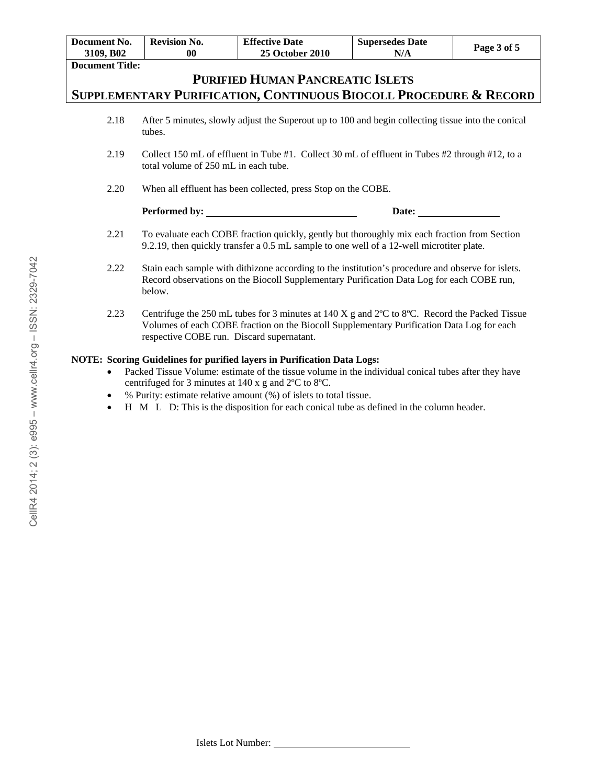| Document No.                                                                                                                                                                                                                                                                                                             | <b>Revision No.</b>                                                                                                                                                                                                                                                    | <b>Effective Date</b>  | <b>Supersedes Date</b> | Page 3 of 5 |  |  |  |  |  |
|--------------------------------------------------------------------------------------------------------------------------------------------------------------------------------------------------------------------------------------------------------------------------------------------------------------------------|------------------------------------------------------------------------------------------------------------------------------------------------------------------------------------------------------------------------------------------------------------------------|------------------------|------------------------|-------------|--|--|--|--|--|
| 3109, B02                                                                                                                                                                                                                                                                                                                | 0 <sub>0</sub>                                                                                                                                                                                                                                                         | <b>25 October 2010</b> | N/A                    |             |  |  |  |  |  |
| <b>Document Title:</b>                                                                                                                                                                                                                                                                                                   |                                                                                                                                                                                                                                                                        |                        |                        |             |  |  |  |  |  |
| <b>PURIFIED HUMAN PANCREATIC ISLETS</b>                                                                                                                                                                                                                                                                                  |                                                                                                                                                                                                                                                                        |                        |                        |             |  |  |  |  |  |
| SUPPLEMENTARY PURIFICATION, CONTINUOUS BIOCOLL PROCEDURE & RECORD                                                                                                                                                                                                                                                        |                                                                                                                                                                                                                                                                        |                        |                        |             |  |  |  |  |  |
| 2.18                                                                                                                                                                                                                                                                                                                     | After 5 minutes, slowly adjust the Superout up to 100 and begin collecting tissue into the conical<br>tubes.                                                                                                                                                           |                        |                        |             |  |  |  |  |  |
| 2.19                                                                                                                                                                                                                                                                                                                     | Collect 150 mL of effluent in Tube #1. Collect 30 mL of effluent in Tubes #2 through #12, to a<br>total volume of 250 mL in each tube.                                                                                                                                 |                        |                        |             |  |  |  |  |  |
| 2.20                                                                                                                                                                                                                                                                                                                     | When all effluent has been collected, press Stop on the COBE.                                                                                                                                                                                                          |                        |                        |             |  |  |  |  |  |
|                                                                                                                                                                                                                                                                                                                          | Date:                                                                                                                                                                                                                                                                  |                        |                        |             |  |  |  |  |  |
| 2.21                                                                                                                                                                                                                                                                                                                     | To evaluate each COBE fraction quickly, gently but thoroughly mix each fraction from Section<br>9.2.19, then quickly transfer a 0.5 mL sample to one well of a 12-well microtiter plate.                                                                               |                        |                        |             |  |  |  |  |  |
| 2.22                                                                                                                                                                                                                                                                                                                     | Stain each sample with dithizone according to the institution's procedure and observe for islets.<br>Record observations on the Biocoll Supplementary Purification Data Log for each COBE run,<br>below.                                                               |                        |                        |             |  |  |  |  |  |
| 2.23                                                                                                                                                                                                                                                                                                                     | Centrifuge the 250 mL tubes for 3 minutes at $140 \text{ X g}$ and $2^{\circ}$ C to 8 $^{\circ}$ C. Record the Packed Tissue<br>Volumes of each COBE fraction on the Biocoll Supplementary Purification Data Log for each<br>respective COBE run. Discard supernatant. |                        |                        |             |  |  |  |  |  |
| NOTE: Scoring Guidelines for purified layers in Purification Data Logs:<br>Packed Tissue Volume: estimate of the tissue volume in the individual conical tubes after they have<br>centrifuged for 3 minutes at 140 x g and 2°C to 8°C.<br>% Purity: estimate relative amount (%) of islets to total tissue.<br>$\bullet$ |                                                                                                                                                                                                                                                                        |                        |                        |             |  |  |  |  |  |

H M L D: This is the disposition for each conical tube as defined in the column header.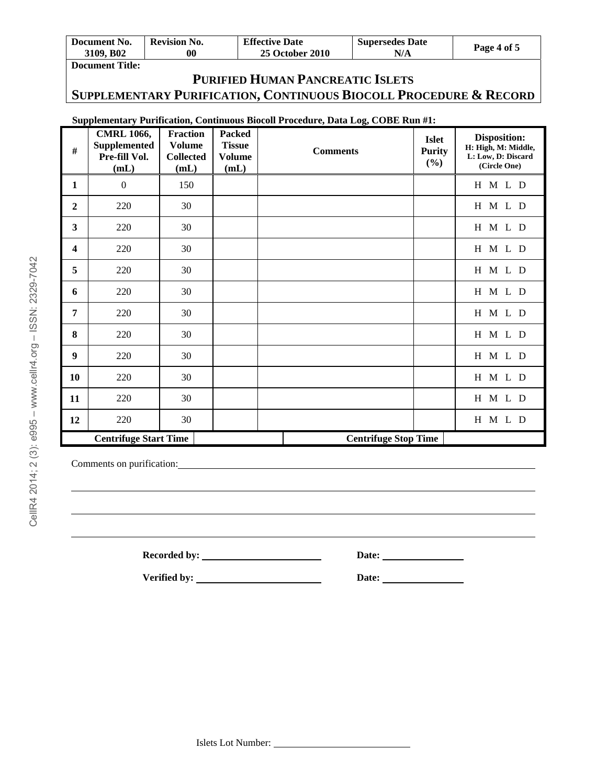| Document No.           | <b>Revision No.</b> | <b>Effective Date</b>  | <b>Supersedes Date</b> | Page 4 of 5 |
|------------------------|---------------------|------------------------|------------------------|-------------|
| 3109. B <sub>02</sub>  | 00                  | <b>25 October 2010</b> | N/A                    |             |
| <b>Document Title:</b> |                     |                        |                        |             |

# **PURIFIED HUMAN PANCREATIC ISLETS SUPPLEMENTARY PURIFICATION, CONTINUOUS BIOCOLL PROCEDURE & RECORD**

## **Supplementary Purification, Continuous Biocoll Procedure, Data Log, COBE Run #1:**

| #                       | <b>CMRL 1066,</b><br><b>Supplemented</b><br>Pre-fill Vol.<br>(mL) | <b>Fraction</b><br><b>Volume</b><br><b>Collected</b><br>(mL) | <b>Packed</b><br><b>Tissue</b><br><b>Volume</b><br>(mL) | <b>Comments</b>             | <b>Islet</b><br><b>Purity</b><br>(%) | Disposition:<br>H: High, M: Middle,<br>L: Low, D: Discard<br>(Circle One) |
|-------------------------|-------------------------------------------------------------------|--------------------------------------------------------------|---------------------------------------------------------|-----------------------------|--------------------------------------|---------------------------------------------------------------------------|
| $\mathbf{1}$            | $\boldsymbol{0}$                                                  | 150                                                          |                                                         |                             |                                      | H M L D                                                                   |
| $\boldsymbol{2}$        | 220                                                               | 30                                                           |                                                         |                             |                                      | H M L D                                                                   |
| $\mathbf{3}$            | 220                                                               | 30                                                           |                                                         |                             |                                      | H M L D                                                                   |
| $\overline{\mathbf{4}}$ | 220                                                               | 30                                                           |                                                         |                             |                                      | H M L D                                                                   |
| 5                       | 220                                                               | 30                                                           |                                                         |                             |                                      | H M L D                                                                   |
| 6                       | 220                                                               | 30                                                           |                                                         |                             |                                      | H M L D                                                                   |
| $\overline{7}$          | 220                                                               | 30                                                           |                                                         |                             |                                      | H M L D                                                                   |
| 8                       | 220                                                               | 30                                                           |                                                         |                             |                                      | H M L D                                                                   |
| 9                       | 220                                                               | 30                                                           |                                                         |                             |                                      | H M L D                                                                   |
| 10                      | 220                                                               | 30                                                           |                                                         |                             |                                      | H M L D                                                                   |
| 11                      | 220                                                               | 30                                                           |                                                         |                             |                                      | H M L D                                                                   |
| 12                      | 220                                                               | 30                                                           |                                                         |                             |                                      | H M L D                                                                   |
|                         | <b>Centrifuge Start Time</b>                                      |                                                              |                                                         | <b>Centrifuge Stop Time</b> |                                      |                                                                           |

Comments on purification:

Recorded by: <u>Date:</u> Date:

**Verified by: Date:**